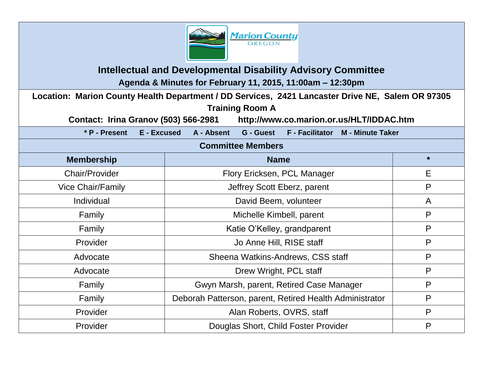

**Intellectual and Developmental Disability Advisory Committee Agenda & Minutes for February 11, 2015, 11:00am – 12:30pm**

**Location: Marion County Health Department / DD Services, 2421 Lancaster Drive NE, Salem OR 97305 Training Room A** 

**Contact: Irina Granov (503) 566-2981 http://www.co.marion.or.us/HLT/IDDAC.htm**

**\* P - Present E - Excused A - Absent G - Guest F - Facilitator M - Minute Taker**

#### **Committee Members**

| <b>Membership</b>        | <b>Name</b>                                             | $\star$ |
|--------------------------|---------------------------------------------------------|---------|
| <b>Chair/Provider</b>    | Flory Ericksen, PCL Manager                             | Ε       |
| <b>Vice Chair/Family</b> | Jeffrey Scott Eberz, parent                             | P       |
| Individual               | David Beem, volunteer                                   | A       |
| Family                   | Michelle Kimbell, parent                                | P       |
| Family                   | Katie O'Kelley, grandparent                             | P       |
| Provider                 | Jo Anne Hill, RISE staff                                | P       |
| Advocate                 | Sheena Watkins-Andrews, CSS staff                       | P       |
| Advocate                 | Drew Wright, PCL staff                                  | P       |
| Family                   | Gwyn Marsh, parent, Retired Case Manager                | P       |
| Family                   | Deborah Patterson, parent, Retired Health Administrator | P       |
| Provider                 | Alan Roberts, OVRS, staff                               | P       |
| Provider                 | Douglas Short, Child Foster Provider                    | P       |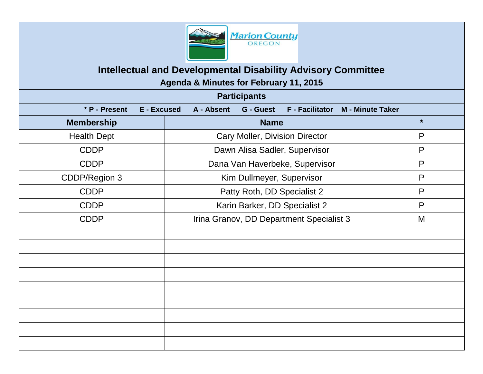

# **Intellectual and Developmental Disability Advisory Committee Agenda & Minutes for February 11, 2015**

| <b>Participants</b> |                           |                                            |                         |
|---------------------|---------------------------|--------------------------------------------|-------------------------|
| * P - Present       | A - Absent<br>E - Excused | <b>G</b> - Guest<br><b>F</b> - Facilitator | <b>M</b> - Minute Taker |
| <b>Membership</b>   |                           | <b>Name</b>                                | $\star$                 |
| <b>Health Dept</b>  |                           | Cary Moller, Division Director             | P                       |
| <b>CDDP</b>         |                           | Dawn Alisa Sadler, Supervisor              | P                       |
| <b>CDDP</b>         |                           | Dana Van Haverbeke, Supervisor             | P                       |
| CDDP/Region 3       |                           | Kim Dullmeyer, Supervisor                  | P                       |
| <b>CDDP</b>         |                           | Patty Roth, DD Specialist 2                | $\mathsf{P}$            |
| <b>CDDP</b>         |                           | Karin Barker, DD Specialist 2              | P                       |
| <b>CDDP</b>         |                           | Irina Granov, DD Department Specialist 3   | M                       |
|                     |                           |                                            |                         |
|                     |                           |                                            |                         |
|                     |                           |                                            |                         |
|                     |                           |                                            |                         |
|                     |                           |                                            |                         |
|                     |                           |                                            |                         |
|                     |                           |                                            |                         |
|                     |                           |                                            |                         |
|                     |                           |                                            |                         |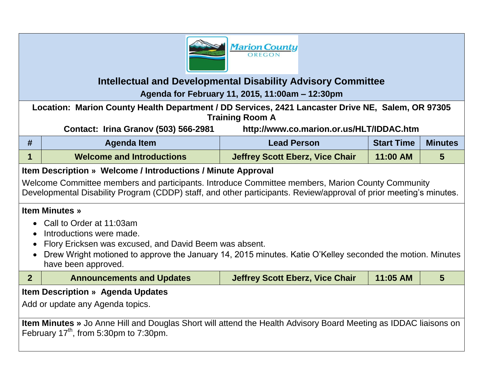

## **Intellectual and Developmental Disability Advisory Committee Agenda for February 11, 2015, 11:00am – 12:30pm**

**Location: Marion County Health Department / DD Services, 2421 Lancaster Drive NE, Salem, OR 97305 Training Room A**

**Contact: Irina Granov (503) 566-2981 http://www.co.marion.or.us/HLT/IDDAC.htm**

| Agenda Item                      | <b>Lead Person</b>                     | <b>Start Time</b> | <b>Minutes</b> |
|----------------------------------|----------------------------------------|-------------------|----------------|
| <b>Welcome and Introductions</b> | <b>Jeffrey Scott Eberz, Vice Chair</b> | 11:00 AM          |                |

### **Item Description » Welcome / Introductions / Minute Approval**

Welcome Committee members and participants. Introduce Committee members, Marion County Community Developmental Disability Program (CDDP) staff, and other participants. Review/approval of prior meeting's minutes.

#### **Item Minutes »**

- Call to Order at 11:03am
- Introductions were made.
- Flory Ericksen was excused, and David Beem was absent.
- Drew Wright motioned to approve the January 14, 2015 minutes. Katie O'Kelley seconded the motion. Minutes have been approved.

|                                                                                                                         | <b>Announcements and Updates</b> | <b>Jeffrey Scott Eberz, Vice Chair</b> | 11:05 AM |  |
|-------------------------------------------------------------------------------------------------------------------------|----------------------------------|----------------------------------------|----------|--|
| <b>Item Description » Agenda Updates</b>                                                                                |                                  |                                        |          |  |
| Add or update any Agenda topics.                                                                                        |                                  |                                        |          |  |
|                                                                                                                         |                                  |                                        |          |  |
| <b>Item Minutes</b> » Jo Anne Hill and Douglas Short will attend the Health Advisory Board Meeting as IDDAC liaisons on |                                  |                                        |          |  |

February  $17<sup>th</sup>$ , from 5:30pm to 7:30pm.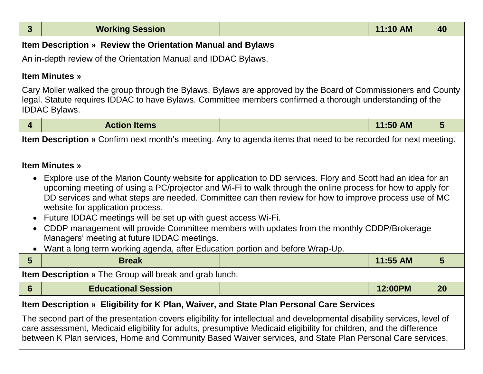| 3                                                                                                                                                                                                                                                                                                                                                                                                                                                                                                                                                                                                                                                                                  | <b>Working Session</b>                                                                                                                                                                                                                             |  | 11:10 AM | 40             |
|------------------------------------------------------------------------------------------------------------------------------------------------------------------------------------------------------------------------------------------------------------------------------------------------------------------------------------------------------------------------------------------------------------------------------------------------------------------------------------------------------------------------------------------------------------------------------------------------------------------------------------------------------------------------------------|----------------------------------------------------------------------------------------------------------------------------------------------------------------------------------------------------------------------------------------------------|--|----------|----------------|
|                                                                                                                                                                                                                                                                                                                                                                                                                                                                                                                                                                                                                                                                                    | Item Description » Review the Orientation Manual and Bylaws                                                                                                                                                                                        |  |          |                |
|                                                                                                                                                                                                                                                                                                                                                                                                                                                                                                                                                                                                                                                                                    | An in-depth review of the Orientation Manual and IDDAC Bylaws.                                                                                                                                                                                     |  |          |                |
|                                                                                                                                                                                                                                                                                                                                                                                                                                                                                                                                                                                                                                                                                    | <b>Item Minutes »</b>                                                                                                                                                                                                                              |  |          |                |
|                                                                                                                                                                                                                                                                                                                                                                                                                                                                                                                                                                                                                                                                                    | Cary Moller walked the group through the Bylaws. Bylaws are approved by the Board of Commissioners and County<br>legal. Statute requires IDDAC to have Bylaws. Committee members confirmed a thorough understanding of the<br><b>IDDAC Bylaws.</b> |  |          |                |
| $\overline{4}$                                                                                                                                                                                                                                                                                                                                                                                                                                                                                                                                                                                                                                                                     | <b>Action Items</b>                                                                                                                                                                                                                                |  | 11:50 AM | $5\phantom{1}$ |
|                                                                                                                                                                                                                                                                                                                                                                                                                                                                                                                                                                                                                                                                                    | <b>Item Description</b> » Confirm next month's meeting. Any to agenda items that need to be recorded for next meeting.                                                                                                                             |  |          |                |
|                                                                                                                                                                                                                                                                                                                                                                                                                                                                                                                                                                                                                                                                                    | <b>Item Minutes »</b>                                                                                                                                                                                                                              |  |          |                |
| Explore use of the Marion County website for application to DD services. Flory and Scott had an idea for an<br>upcoming meeting of using a PC/projector and Wi-Fi to walk through the online process for how to apply for<br>DD services and what steps are needed. Committee can then review for how to improve process use of MC<br>website for application process.<br>Future IDDAC meetings will be set up with guest access Wi-Fi.<br>CDDP management will provide Committee members with updates from the monthly CDDP/Brokerage<br>$\bullet$<br>Managers' meeting at future IDDAC meetings.<br>Want a long term working agenda, after Education portion and before Wrap-Up. |                                                                                                                                                                                                                                                    |  |          |                |
| $5\phantom{1}$                                                                                                                                                                                                                                                                                                                                                                                                                                                                                                                                                                                                                                                                     | <b>Break</b>                                                                                                                                                                                                                                       |  | 11:55 AM | 5              |
|                                                                                                                                                                                                                                                                                                                                                                                                                                                                                                                                                                                                                                                                                    | <b>Item Description</b> » The Group will break and grab lunch.                                                                                                                                                                                     |  |          |                |
| 6                                                                                                                                                                                                                                                                                                                                                                                                                                                                                                                                                                                                                                                                                  | <b>Educational Session</b>                                                                                                                                                                                                                         |  | 12:00PM  | 20             |
| Item Description » Eligibility for K Plan, Waiver, and State Plan Personal Care Services<br>The second part of the presentation covers eligibility for intellectual and developmental disability services, level of<br>care assessment, Medicaid eligibility for adults, presumptive Medicaid eligibility for children, and the difference<br>between K Plan services, Home and Community Based Waiver services, and State Plan Personal Care services.                                                                                                                                                                                                                            |                                                                                                                                                                                                                                                    |  |          |                |